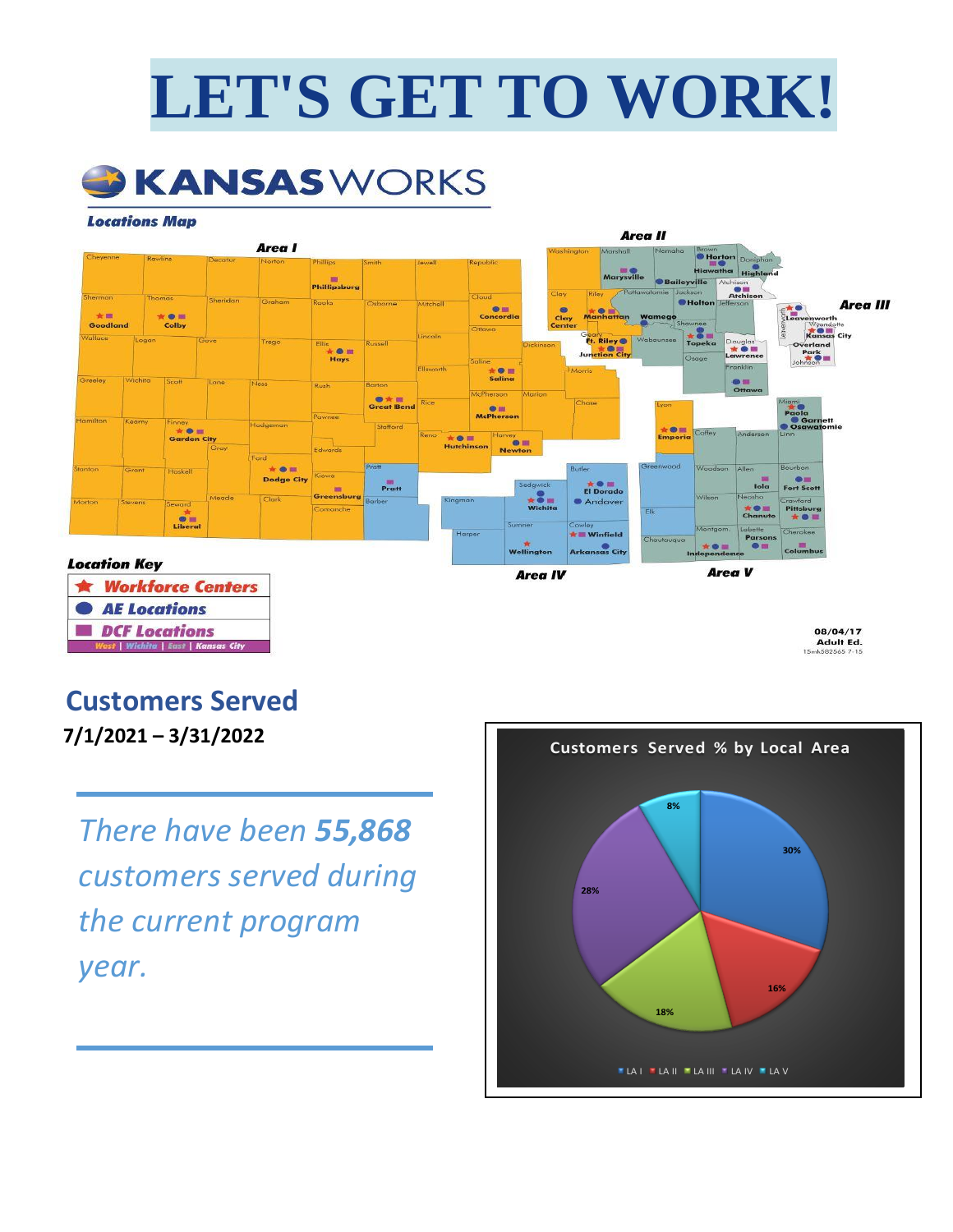# **LET'S GET TO WORK!**



#### **Locations Map**



08/04/17<br>Adult Ed. 15mL582565

## **Customers Served**

| Wichita | East | Kansas City

**7/1/2021 – 3/31/2022**

*There have been 55,868 customers served during the current program year.*

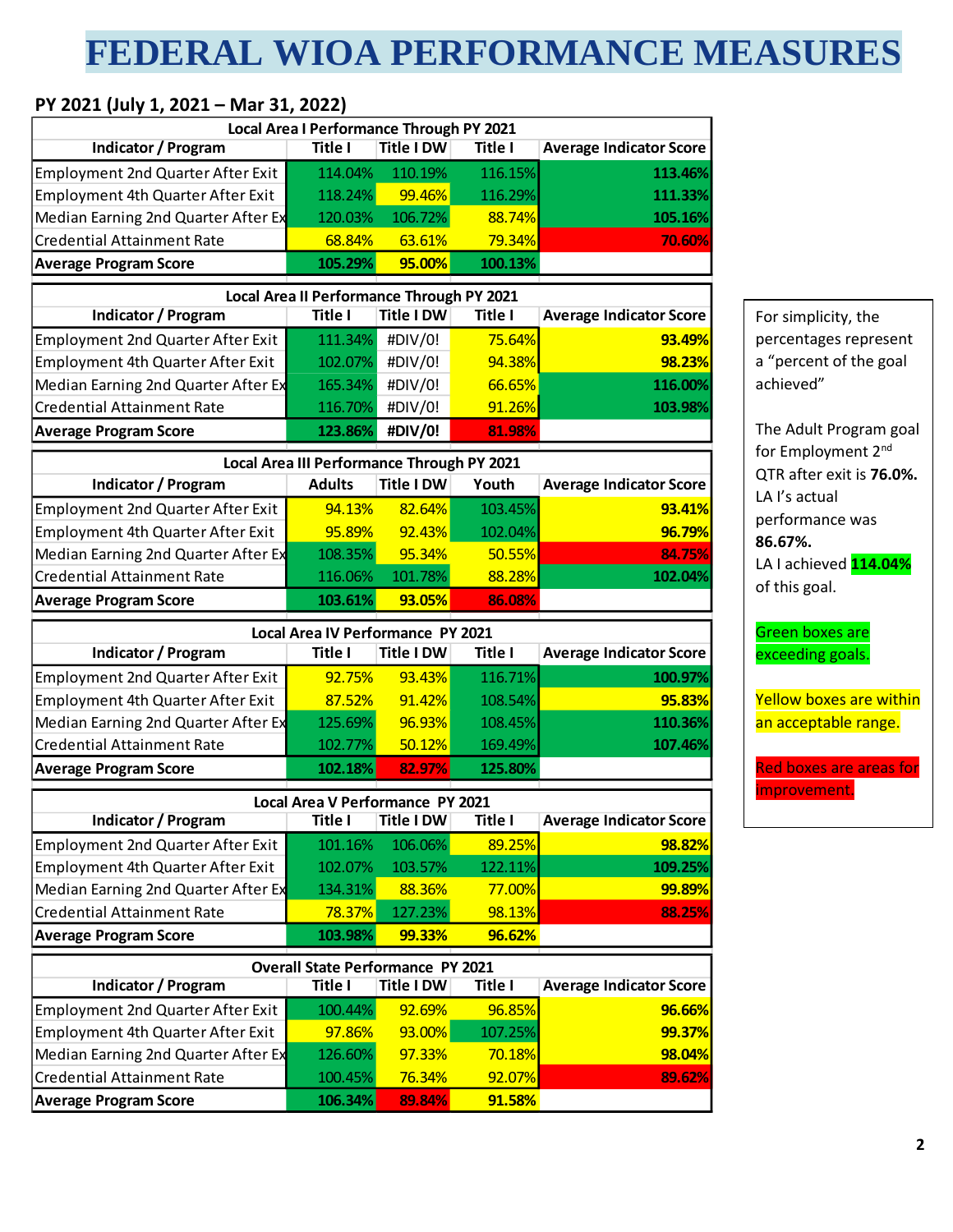## **FEDERAL WIOA PERFORMANCE MEASURES**

### **PY 2021 (July 1, 2021 – Mar 31, 2022)**

|                                          | Local Area I Performance Through PY 2021   |                   |                |                                |
|------------------------------------------|--------------------------------------------|-------------------|----------------|--------------------------------|
| <b>Indicator / Program</b>               | Title I                                    | <b>Title I DW</b> | <b>Title I</b> | <b>Average Indicator Score</b> |
| <b>Employment 2nd Quarter After Exit</b> | 114.04%                                    | 110.19%           | 116.15%        | 113.46%                        |
| Employment 4th Quarter After Exit        | 118.24%                                    | 99.46%            | 116.29%        | 111.33%                        |
| Median Earning 2nd Quarter After Ex      | 120.03%                                    | 106.72%           | 88.74%         | 105.16%                        |
| <b>Credential Attainment Rate</b>        | 68.84%                                     | 63.61%            | 79.34%         | 70.60%                         |
| <b>Average Program Score</b>             | 105.29%                                    | 95.00%            | 100.13%        |                                |
|                                          | Local Area II Performance Through PY 2021  |                   |                |                                |
| <b>Indicator / Program</b>               | Title I                                    | <b>Title I DW</b> | Title I        | <b>Average Indicator Score</b> |
| <b>Employment 2nd Quarter After Exit</b> | 111.34%                                    | #DIV/0!           | 75.64%         | 93.49%                         |
| Employment 4th Quarter After Exit        | 102.07%                                    | #DIV/0!           | 94.38%         | 98.23%                         |
| Median Earning 2nd Quarter After Ex      | 165.34%                                    | #DIV/0!           | 66.65%         | 116.00%                        |
| <b>Credential Attainment Rate</b>        | 116.70%                                    | #DIV/0!           | 91.26%         | 103.98%                        |
| <b>Average Program Score</b>             | 123.86%                                    | #DIV/0!           | 81.98%         |                                |
|                                          | Local Area III Performance Through PY 2021 |                   |                |                                |
| <b>Indicator / Program</b>               | <b>Adults</b>                              | <b>Title I DW</b> | Youth          | <b>Average Indicator Score</b> |
| <b>Employment 2nd Quarter After Exit</b> | 94.13%                                     | 82.64%            | 103.45%        | 93.41%                         |
| Employment 4th Quarter After Exit        | 95.89%                                     | 92.43%            | 102.04%        | 96.79%                         |
| Median Earning 2nd Quarter After Ex      | 108.35%                                    | 95.34%            | 50.55%         | 84.75%                         |
| <b>Credential Attainment Rate</b>        | 116.06%                                    | 101.78%           | 88.28%         | 102.04%                        |
| <b>Average Program Score</b>             | 103.61%                                    | 93.05%            | 86.08%         |                                |
|                                          | Local Area IV Performance PY 2021          |                   |                |                                |
| Indicator / Program                      | Title I                                    | <b>Title I DW</b> | Title I        | <b>Average Indicator Score</b> |
| <b>Employment 2nd Quarter After Exit</b> | 92.75%                                     | 93.43%            | 116.71%        | 100.97%                        |
| Employment 4th Quarter After Exit        | 87.52%                                     | 91.42%            | 108.54%        | 95.83%                         |
| Median Earning 2nd Quarter After Ex      | 125.69%                                    | 96.93%            | 108.45%        | 110.36%                        |
| <b>Credential Attainment Rate</b>        | 102.77%                                    | 50.12%            | 169.49%        | 107.46%                        |
| <b>Average Program Score</b>             | 102.18%                                    | 82.97%            | 125.80%        |                                |
|                                          | <b>Local Area V Performance PY 2021</b>    |                   |                |                                |
| Indicator / Program                      | <b>Title I</b>                             | Title I DW        | <b>Title I</b> | <b>Average Indicator Score</b> |
| <b>Employment 2nd Quarter After Exit</b> | 101.16%                                    | 106.06%           | 89.25%         | 98.82%                         |
| Employment 4th Quarter After Exit        | 102.07%                                    | 103.57%           | 122.11%        | 109.25%                        |
| Median Earning 2nd Quarter After Ex      | 134.31%                                    | 88.36%            | 77.00%         | 99.89%                         |
| <b>Credential Attainment Rate</b>        | 78.37%                                     | 127.23%           | 98.13%         | 88.25%                         |
| <b>Average Program Score</b>             | 103.98%                                    | 99.33%            | 96.62%         |                                |
|                                          | <b>Overall State Performance PY 2021</b>   |                   |                |                                |
| <b>Indicator / Program</b>               | <b>Title I</b>                             | <b>Title I DW</b> | Title I        | <b>Average Indicator Score</b> |
| <b>Employment 2nd Quarter After Exit</b> | 100.44%                                    | 92.69%            | 96.85%         | 96.66%                         |
|                                          |                                            | 93.00%            | 107.25%        | 99.37%                         |
| Employment 4th Quarter After Exit        | 97.86%                                     |                   |                |                                |
| Median Earning 2nd Quarter After Ex      | 126.60%                                    | 97.33%            | 70.18%         | 98.04%                         |
| <b>Credential Attainment Rate</b>        | 100.45%                                    | 76.34%            | 92.07%         | 89.62%                         |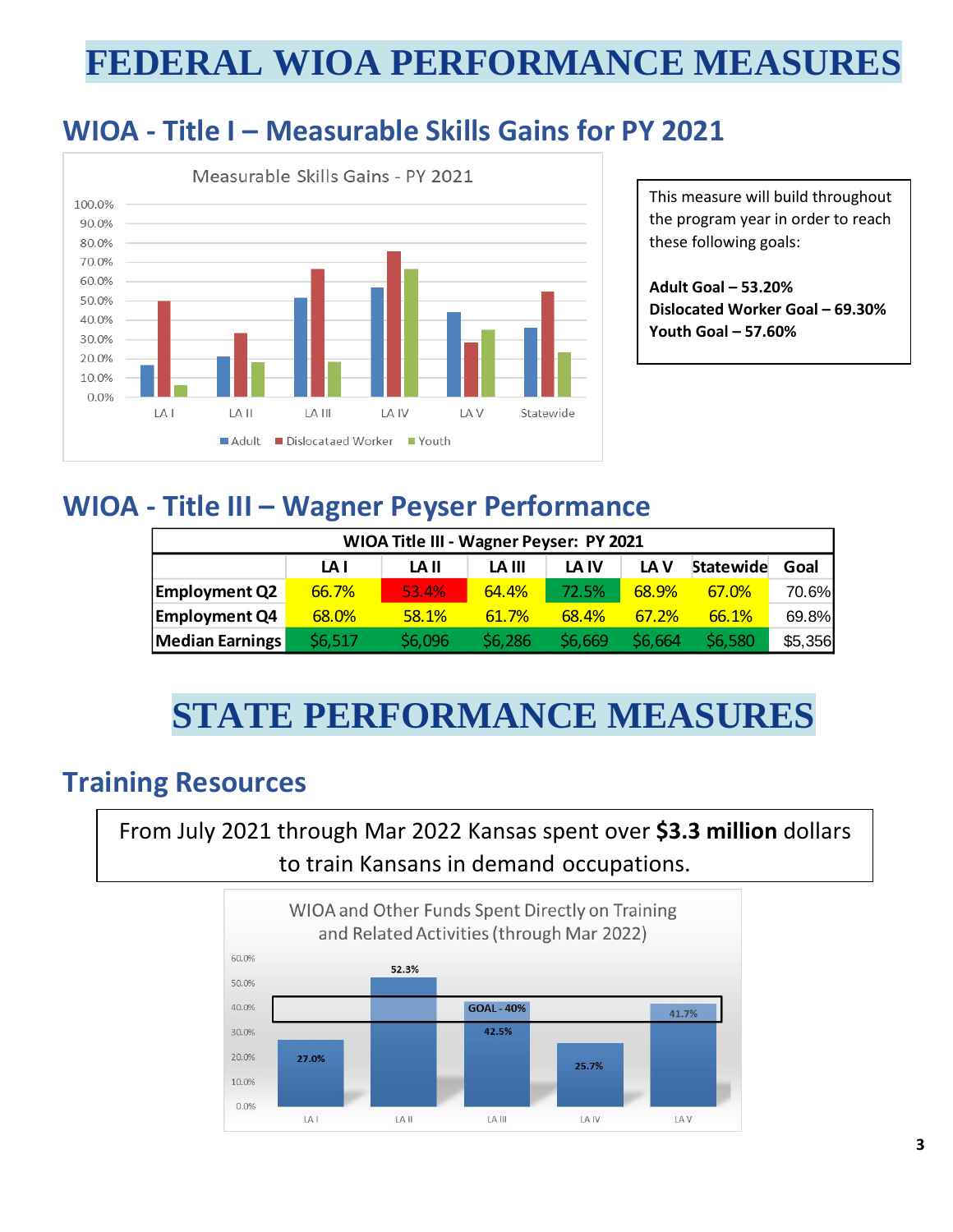## **FEDERAL WIOA PERFORMANCE MEASURES**

### **WIOA - Title I – Measurable Skills Gains for PY 2021**



This measure will build throughout the program year in order to reach these following goals:

**Adult Goal – 53.20% Dislocated Worker Goal – 69.30% Youth Goal – 57.60%**

### **WIOA - Title III – Wagner Peyser Performance**

| WIOA Title III - Wagner Peyser: PY 2021 |         |         |         |         |         |           |         |
|-----------------------------------------|---------|---------|---------|---------|---------|-----------|---------|
|                                         | LA I    | LA II   | LA III  | LA IV   | LA V    | Statewide | Goal    |
| <b>Employment Q2</b>                    | 66.7%   | 53.4%   | 64.4%   | 72.5%   | 68.9%   | 67.0%     | 70.6%   |
| <b>Employment Q4</b>                    | 68.0%   | 58.1%   | 61.7%   | 68.4%   | 67.2%   | 66.1%     | 69.8%   |
| <b>Median Earnings</b>                  | \$6,517 | \$6,096 | \$6,286 | \$6,669 | \$6.664 | \$6,580   | \$5,356 |

## **STATE PERFORMANCE MEASURES**

### **Training Resources**

From July 2021 through Mar 2022 Kansas spent over **\$3.3 million** dollars to train Kansans in demand occupations.

![](_page_2_Figure_10.jpeg)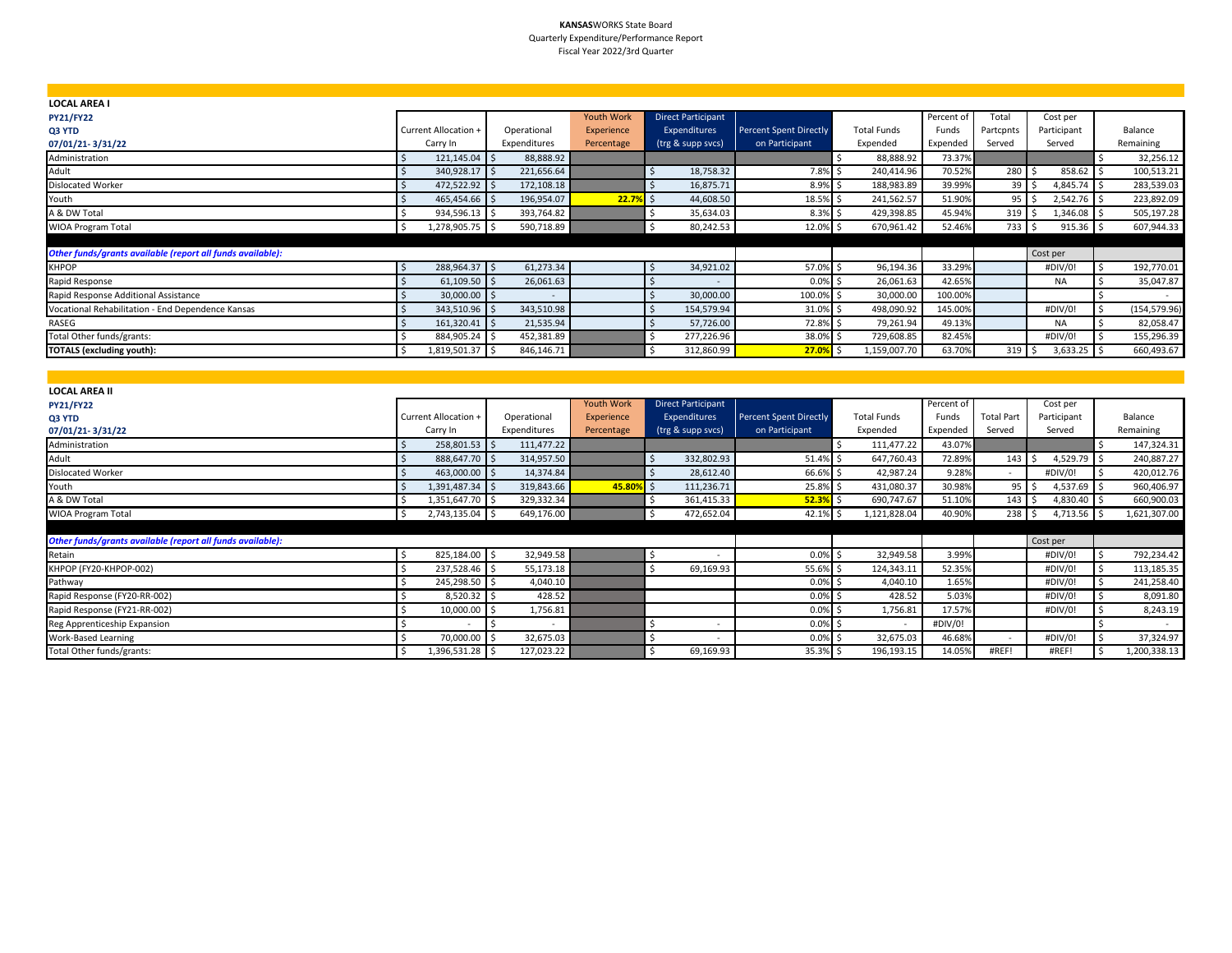#### **KANSAS**WORKS State Board Quarterly Expenditure/Performance Report Fiscal Year 2022/3rd Quarter

| <b>LOCAL AREA I</b>                                        |                      |                          |                   |                           |                               |                    |            |                  |             |                  |  |
|------------------------------------------------------------|----------------------|--------------------------|-------------------|---------------------------|-------------------------------|--------------------|------------|------------------|-------------|------------------|--|
| <b>PY21/FY22</b>                                           |                      |                          | <b>Youth Work</b> | <b>Direct Participant</b> |                               |                    | Percent of | Total            | Cost per    |                  |  |
| Q3 YTD                                                     | Current Allocation + | Operational              | Experience        | <b>Expenditures</b>       | <b>Percent Spent Directly</b> | <b>Total Funds</b> | Funds      | Partcpnts        | Participant | Balance          |  |
| 07/01/21-3/31/22                                           | Carry In             | Expenditures             | Percentage        | (trg & supp svcs)         | on Participant                | Expended           | Expended   | Served           | Served      | Remaining        |  |
| Administration                                             | 121,145.04 \$        | 88,888.92                |                   |                           |                               | 88,888.92          | 73.37%     |                  |             | 32,256.12        |  |
| Adult                                                      | 340,928.17           | 221,656.64<br>I S        |                   | 18,758.32                 | 7.8% \$                       | 240,414.96         | 70.52%     | $280 \quad $5$   | 858.62 \$   | 100,513.21       |  |
| Dislocated Worker                                          | 472,522.92 \$        | 172,108.18               |                   | 16,875.71                 | $8.9\%$ \$                    | 188,983.89         | 39.99%     | $39 \mid 5$      | 4,845.74    | 283,539.03<br>ΙS |  |
| Youth                                                      | 465,454.66 \$        | 196,954.07               | $22.7%$ \$        | 44,608.50                 | 18.5% \$                      | 241,562.57         | 51.90%     | $95 \mid 5$      | 2,542.76 \$ | 223,892.09       |  |
| A & DW Total                                               | 934,596.13 \$        | 393,764.82               |                   | 35,634.03                 | $8.3\%$ \$                    | 429,398.85         | 45.94%     | 319 <sup>5</sup> | 1,346.08 \$ | 505,197.28       |  |
| <b>WIOA Program Total</b>                                  | 1,278,905.75 \$      | 590,718.89               |                   | 80,242.53                 | 12.0% \$                      | 670,961.42         | 52.46%     | $733$ \$         | $915.36$ \$ | 607,944.33       |  |
|                                                            |                      |                          |                   |                           |                               |                    |            |                  |             |                  |  |
| Other funds/grants available (report all funds available): |                      |                          |                   |                           |                               |                    |            |                  | Cost per    |                  |  |
| <b>KHPOP</b>                                               | 288,964.37 \$        | 61,273.34                |                   | 34,921.02                 | 57.0% \$                      | 96,194.36          | 33.29%     |                  | #DIV/0!     | 192,770.01       |  |
| Rapid Response                                             | $61,109.50$ \$       | 26,061.63                |                   |                           | $0.0\%$ \$                    | 26,061.63          | 42.65%     |                  | <b>NA</b>   | 35,047.87        |  |
| Rapid Response Additional Assistance                       | $30,000.00$ \$       | $\overline{\phantom{a}}$ |                   | 30,000.00                 | 100.0% \$                     | 30,000.00          | 100.00%    |                  |             |                  |  |
| Vocational Rehabilitation - End Dependence Kansas          | 343,510.96 \$        | 343,510.98               |                   | 154,579.94                | 31.0% \$                      | 498,090.92         | 145.00%    |                  | #DIV/0!     | (154, 579.96)    |  |
| RASEG                                                      | 161,320.41 \$        | 21,535.94                |                   | 57,726.00                 | 72.8% \$                      | 79,261.94          | 49.13%     |                  | <b>NA</b>   | 82,058.47        |  |
| Total Other funds/grants:                                  | 884,905.24 \$        | 452,381.89               |                   | 277,226.96                | 38.0% \$                      | 729,608.85         | 82.45%     |                  | #DIV/0!     | 155,296.39       |  |
| <b>TOTALS (excluding youth):</b>                           | 1,819,501.37 \$      | 846,146.71               |                   | 312,860.99                | 27.0%                         | 1,159,007.70       | 63.70%     | 319 <sup>5</sup> | 3,633.25    | 660,493.67       |  |

| <b>LOCAL AREA II</b>                                       |                      |              |                   |                           |                               |                    |            |                   |             |              |
|------------------------------------------------------------|----------------------|--------------|-------------------|---------------------------|-------------------------------|--------------------|------------|-------------------|-------------|--------------|
| <b>PY21/FY22</b>                                           |                      |              | <b>Youth Work</b> | <b>Direct Participant</b> |                               |                    | Percent of |                   | Cost per    |              |
| Q3 YTD                                                     | Current Allocation + | Operational  | Experience        | Expenditures              | <b>Percent Spent Directly</b> | <b>Total Funds</b> | Funds      | <b>Total Part</b> | Participant | Balance      |
| 07/01/21-3/31/22                                           | Carry In             | Expenditures | Percentage        | (trg & supp svcs)         | on Participant                | Expended           | Expended   | Served            | Served      | Remaining    |
| Administration                                             | 258,801.53 \$        | 111,477.22   |                   |                           |                               | 111,477.22         | 43.07%     |                   |             | 147,324.31   |
| Adult                                                      | 888,647.70 \$        | 314,957.50   |                   | 332,802.93                | 51.4%                         | 647,760.43         | 72.89%     | $143 \quad$ \$    | 4,529.79    | 240,887.27   |
| <b>Dislocated Worker</b>                                   | 463,000.00 \$        | 14,374.84    |                   | 28,612.40                 | 66.6%                         | 42,987.24          | 9.28%      | $\sim$            | #DIV/0!     | 420,012.76   |
| Youth                                                      | 1,391,487.34 \$      | 319,843.66   | 45.80%            | 111,236.71                | 25.8%                         | 431,080.37         | 30.98%     | 95                | 4,537.69    | 960,406.97   |
| A & DW Total                                               | 1,351,647.70 \$      | 329,332.34   |                   | 361,415.33                | 52.3%                         | 690,747.67         | 51.10%     | 143               | 4,830.40 \$ | 660,900.03   |
| <b>WIOA Program Total</b>                                  | 2,743,135.04 \$      | 649,176.00   |                   | 472,652.04                | 42.1%                         | 1,121,828.04       | 40.90%     | $238$ \$          | 4,713.56 \$ | 1,621,307.00 |
|                                                            |                      |              |                   |                           |                               |                    |            |                   |             |              |
| Other funds/grants available (report all funds available): |                      |              |                   |                           |                               |                    |            |                   | Cost per    |              |
| Retain                                                     | 825,184.00 \$        | 32,949.58    |                   |                           | $0.0\%$ \$                    | 32,949.58          | 3.99%      |                   | #DIV/0!     | 792,234.42   |
| KHPOP (FY20-KHPOP-002)                                     | 237,528.46 \$        | 55,173.18    |                   | 69,169.93                 | 55.6%                         | 124,343.11         | 52.35%     |                   | #DIV/0!     | 113,185.35   |
| Pathway                                                    | 245,298.50 \$        | 4,040.10     |                   |                           | 0.0%                          | 4,040.10           | 1.65%      |                   | #DIV/0!     | 241,258.40   |
| Rapid Response (FY20-RR-002)                               | 8,520.32 \$          | 428.52       |                   |                           | 0.0%                          | 428.52             | 5.03%      |                   | #DIV/0!     | 8,091.80     |
| Rapid Response (FY21-RR-002)                               | 10,000.00            | 1,756.81     |                   |                           | 0.0%                          | 1,756.81           | 17.57%     |                   | #DIV/0!     | 8,243.19     |
| Reg Apprenticeship Expansion                               |                      | $\sim$       |                   | ۰                         | 0.0%                          | $\sim$             | #DIV/0!    |                   |             |              |
| Work-Based Learning                                        | 70,000.00 \$         | 32,675.03    |                   |                           | $0.0\%$ \$                    | 32,675.03          | 46.68%     | $\sim$            | #DIV/0!     | 37,324.97    |
| Total Other funds/grants:                                  | 1,396,531.28 \$      | 127,023.22   |                   | 69,169.93                 | 35.3% \$                      | 196,193.15         | 14.05%     | #REF!             | #REF!       | 1,200,338.13 |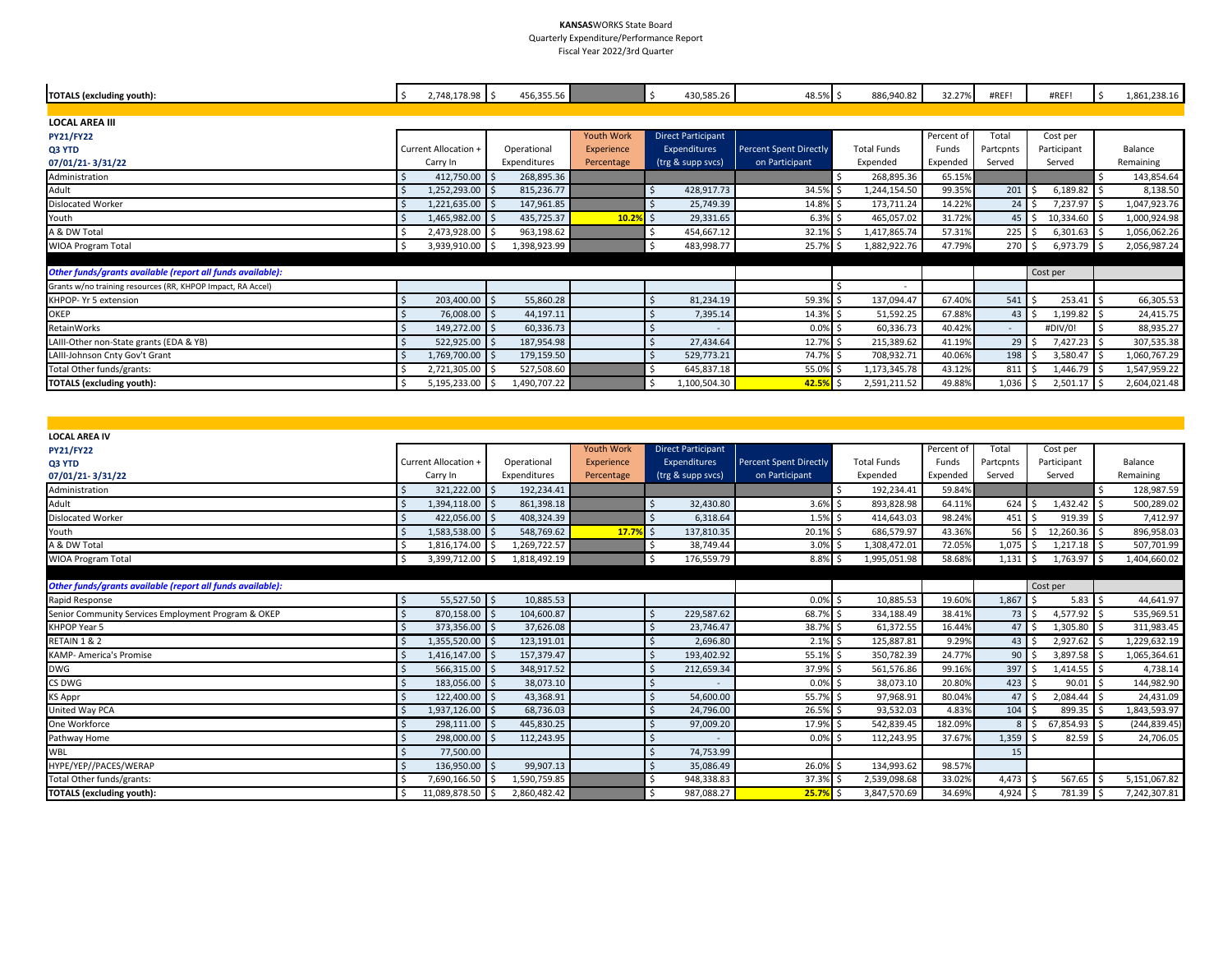#### **KANSAS**WORKS State Board Quarterly Expenditure/Performance Report

Fiscal Year 2022/3rd Quarter

| <b>TOTALS (excluding youth):</b>                            | 2,748,178.98 \$<br>\$ | 456,355.56   |            | Ŝ.<br>430,585.26          | 48.5% \$                      | 886,940.82         | 32.27%     | #REF!              | #REF!         | 1,861,238.16 |
|-------------------------------------------------------------|-----------------------|--------------|------------|---------------------------|-------------------------------|--------------------|------------|--------------------|---------------|--------------|
|                                                             |                       |              |            |                           |                               |                    |            |                    |               |              |
| <b>LOCAL AREA III</b>                                       |                       |              |            |                           |                               |                    |            |                    |               |              |
| <b>PY21/FY22</b>                                            |                       |              | Youth Work | <b>Direct Participant</b> |                               |                    | Percent of | Total              | Cost per      |              |
| Q3 YTD                                                      | Current Allocation +  | Operational  | Experience | Expenditures              | <b>Percent Spent Directly</b> | <b>Total Funds</b> | Funds      | Partcpnts          | Participant   | Balance      |
| 07/01/21-3/31/22                                            | Carry In              | Expenditures | Percentage | (trg & supp svcs)         | on Participant                | Expended           | Expended   | Served             | Served        | Remaining    |
| Administration                                              | 412,750.00 \$         | 268,895.36   |            |                           |                               | 268,895.36         | 65.15%     |                    |               | 143,854.64   |
| Adult                                                       | 1,252,293.00 \$       | 815,236.77   |            | 428,917.73                | 34.5% \$                      | 1,244,154.50       | 99.35%     | $201 \,$ \$        | $6,189.82$ \$ | 8,138.50     |
| <b>Dislocated Worker</b>                                    | 1,221,635.00 \$       | 147,961.85   |            | 25,749.39                 | 14.8% \$                      | 173,711.24         | 14.22%     | $24 \mid 5$        | 7,237.97 \$   | 1,047,923.76 |
| Youth                                                       | 1,465,982.00 \$       | 435,725.37   | $10.2%$ \$ | 29,331.65                 | $6.3%$ \$                     | 465,057.02         | 31.72%     | $45 \,$ $\uparrow$ | 10,334.60 \$  | 1,000,924.98 |
| A & DW Total                                                | 2,473,928.00 \$       | 963,198.62   |            | 454,667.12                | 32.1%                         | 1,417,865.74       | 57.31%     | $225$ \$           | $6,301.63$ \$ | 1,056,062.26 |
| WIOA Program Total                                          | 3,939,910.00 \$       | 1,398,923.99 |            | 483,998.77                | 25.7%                         | 1,882,922.76       | 47.79%     | 270S               | $6,973.79$ \$ | 2,056,987.24 |
|                                                             |                       |              |            |                           |                               |                    |            |                    |               |              |
| Other funds/grants available (report all funds available):  |                       |              |            |                           |                               |                    |            |                    | Cost per      |              |
| Grants w/no training resources (RR, KHPOP Impact, RA Accel) |                       |              |            |                           |                               | $\sim$             |            |                    |               |              |
| KHPOP- Yr 5 extension                                       | 203,400.00 \$         | 55,860.28    |            | 81,234.19                 | 59.3% \$                      | 137,094.47         | 67.40%     | 541S               | $253.41$ \$   | 66,305.53    |
| <b>OKEP</b>                                                 | 76,008.00 \$          | 44,197.11    |            | 7,395.14                  | 14.3% \$                      | 51,592.25          | 67.88%     | $43 \,$ \$         | $1,199.82$ \$ | 24,415.75    |
| RetainWorks                                                 | 149,272.00 \$         | 60,336.73    |            | $\overline{\phantom{a}}$  | 0.0%                          | 60,336.73          | 40.42%     | $\sim$             | #DIV/0!       | 88,935.27    |
| LAIII-Other non-State grants (EDA & YB)                     | 522,925.00 \$         | 187,954.98   |            | 27,434.64                 | 12.7%                         | 215,389.62         | 41.19%     | $29 \quad$         | 7,427.23 \$   | 307,535.38   |
| LAIII-Johnson Cnty Gov't Grant                              | 1,769,700.00 \$       | 179,159.50   |            | 529,773.21                | 74.7% \$                      | 708,932.71         | 40.06%     | $198 \quad $$      | 3,580.47 \$   | 1,060,767.29 |
| Total Other funds/grants:                                   | 2,721,305.00 \$       | 527,508.60   |            | 645,837.18                | 55.0%                         | 1,173,345.78       | 43.12%     | $811 \,$ \$        | 1,446.79 \$   | 1,547,959.22 |
| <b>TOTALS (excluding youth):</b>                            | 5,195,233.00 \$       | 1,490,707.22 |            | 1,100,504.30              | 42.5%                         | 2,591,211.52       | 49.88%     | $1,036$ \$         | $2,501.17$ \$ | 2,604,021.48 |

| <b>LOCAL AREA IV</b>                                       |                             |                      |                   |                           |                               |                    |            |                             |               |               |
|------------------------------------------------------------|-----------------------------|----------------------|-------------------|---------------------------|-------------------------------|--------------------|------------|-----------------------------|---------------|---------------|
| <b>PY21/FY22</b>                                           |                             |                      | <b>Youth Work</b> | <b>Direct Participant</b> |                               |                    | Percent of | Total                       | Cost per      |               |
| Q3 YTD                                                     | <b>Current Allocation +</b> | Operational          | Experience        | Expenditures              | <b>Percent Spent Directly</b> | <b>Total Funds</b> | Funds      | Partcpnts                   | Participant   | Balance       |
| 07/01/21-3/31/22                                           | Carry In                    | Expenditures         | Percentage        | (trg & supp svcs)         | on Participant                | Expended           | Expended   | Served                      | Served        | Remaining     |
| Administration                                             | 321,222.00 \$               | 192,234.41           |                   |                           |                               | 192,234.41         | 59.84%     |                             |               | 128,987.59    |
| Adult                                                      | 1,394,118.00 \$             | 861,398.18           |                   | 32,430.80                 | $3.6\%$ \$                    | 893,828.98         | 64.11%     | 624S                        | 1,432.42 \$   | 500,289.02    |
| <b>Dislocated Worker</b>                                   | 422,056.00 \$               | 408,324.39           |                   | 6,318.64                  | $1.5%$ \$                     | 414,643.03         | 98.24%     | 451S                        | $919.39$ \$   | 7,412.97      |
| Youth                                                      | 1,583,538.00 \$             | 548,769.62           | 17.7%             | 137,810.35                | 20.1% \$                      | 686,579.97         | 43.36%     | 56 <sub>5</sub>             | 12,260.36 \$  | 896,958.03    |
| A & DW Total                                               | 1,816,174.00                | 1,269,722.57<br>l \$ |                   | 38,749.44                 | 3.0%                          | 1,308,472.01       | 72.05%     | $1,075$ $\mid$ \$           | $1,217.18$ \$ | 507,701.99    |
| <b>WIOA Program Total</b>                                  | S,<br>3,399,712.00 \$       | 1,818,492.19         |                   | 176,559.79                | $8.8\%$ \$                    | 1,995,051.98       | 58.68%     | $1,131$ \$                  | 1,763.97 \$   | 1,404,660.02  |
|                                                            |                             |                      |                   |                           |                               |                    |            |                             |               |               |
| Other funds/grants available (report all funds available): |                             |                      |                   |                           |                               |                    |            |                             | Cost per      |               |
| Rapid Response                                             | 55,527.50 \$                | 10,885.53            |                   |                           | $0.0\%$ \$                    | 10,885.53          | 19.60%     | 1,867                       | $5.83$ \$     | 44,641.97     |
| Senior Community Services Employment Program & OKEP        | 870,158.00 \$               | 104,600.87           |                   | 229,587.62                | 68.7%                         | 334,188.49         | 38.41%     | $73 \mid 5$                 | $4,577.92$ \$ | 535,969.51    |
| KHPOP Year 5                                               | 373,356.00 \$               | 37,626.08            |                   | 23,746.47                 | 38.7% \$                      | 61,372.55          | 16.44%     | $47 \,$ S                   | 1,305.80 \$   | 311,983.45    |
| RETAIN 1 & 2                                               | 1,355,520.00 \$             | 123,191.01           |                   | 2,696.80                  | $2.1\%$ \$                    | 125,887.81         | 9.29%      | $43 \overline{\phantom{1}}$ | 2,927.62 \$   | 1,229,632.19  |
| <b>KAMP- America's Promise</b>                             | 1,416,147.00 \$             | 157,379.47           |                   | 193,402.92                | 55.1%                         | 350,782.39         | 24.77%     | $90 \mid 5$                 | 3,897.58 \$   | 1,065,364.61  |
| <b>DWG</b>                                                 | 566,315.00 \$               | 348,917.52           |                   | 212,659.34                | 37.9% \$                      | 561,576.86         | 99.16%     | 397 \$                      | $1,414.55$ \$ | 4,738.14      |
| CS DWG                                                     | 183,056.00 \$               | 38,073.10            |                   |                           | $0.0\%$ \$                    | 38,073.10          | 20.80%     | 423                         | $90.01$ \$    | 144,982.90    |
| KS Appr                                                    | 122,400.00<br>I\$           | 43,368.91            |                   | 54,600.00                 | 55.7% \$                      | 97,968.91          | 80.04%     | 47 <sup>1</sup>             | 2,084.44 \$   | 24,431.09     |
| United Way PCA                                             | 1,937,126.00 \$             | 68,736.03            |                   | 24,796.00                 | 26.5% \$                      | 93,532.03          | 4.83%      | 104                         | 899.35 \$     | 1,843,593.97  |
| One Workforce                                              | 298,111.00                  | 445,830.25<br>l s    |                   | 97,009.20                 | 17.9%                         | 542,839.45         | 182.09%    |                             | 67,854.93 \$  | (244, 839.45) |
| Pathway Home                                               | 298,000.00                  | 112,243.95           |                   |                           | $0.0\%$ \$                    | 112,243.95         | 37.67%     | 1,359                       | $82.59$ \$    | 24,706.05     |
| WBL                                                        | 77,500.00                   |                      |                   | 74,753.99                 |                               |                    |            | 15                          |               |               |
| HYPE/YEP//PACES/WERAP                                      | 136,950.00 \$               | 99,907.13            |                   | 35,086.49                 | 26.0%                         | 134,993.62         | 98.57%     |                             |               |               |
| Total Other funds/grants:                                  | 7,690,166.50                | 1,590,759.85<br>I \$ |                   | 948,338.83                | 37.3%                         | 2,539,098.68       | 33.02%     | $4,473$ \$                  | $567.65$ \$   | 5,151,067.82  |
| <b>TOTALS (excluding youth):</b>                           | 11,089,878.50 \$            | 2,860,482.42         |                   | 987,088.27                | 25.7%                         | 3,847,570.69       | 34.69%     | $4,924$ \$                  | 781.39 \$     | 7,242,307.81  |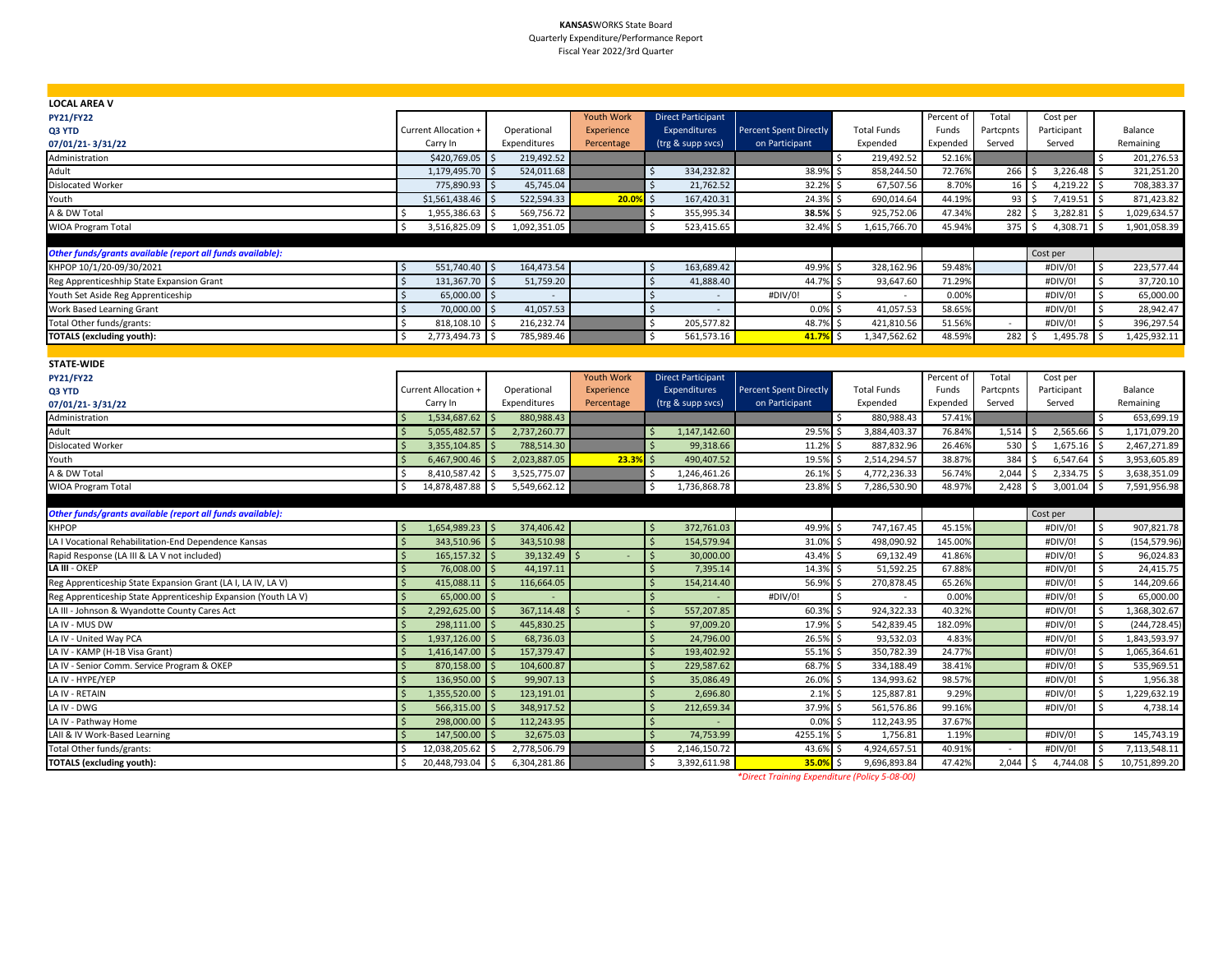#### **KANSAS**WORKS State Board Quarterly Expenditure/Performance Report Fiscal Year 2022/3rd Quarter

| <b>LOCAL AREA V</b>                                           |                                   |                      |                   |                                    |                               |                     |            |            |             |                               |
|---------------------------------------------------------------|-----------------------------------|----------------------|-------------------|------------------------------------|-------------------------------|---------------------|------------|------------|-------------|-------------------------------|
| <b>PY21/FY22</b>                                              |                                   |                      | <b>Youth Work</b> | <b>Direct Participant</b>          |                               |                     | Percent of | Total      | Cost per    |                               |
| Q3 YTD                                                        | Current Allocation +              | Operational          | <b>Experience</b> | Expenditures                       | <b>Percent Spent Directly</b> | <b>Total Funds</b>  | Funds      | Partcpnts  | Participant | Balance                       |
| 07/01/21-3/31/22                                              | Carry In                          | Expenditures         | Percentage        | (trg & supp svcs)                  | on Participant                | Expended            | Expended   | Served     | Served      | Remaining                     |
| Administration                                                | \$420,769.05                      | 219,492.52           |                   |                                    |                               | 219,492.52<br>Ś.    | 52.16%     |            |             | 201,276.53                    |
| Adult                                                         | 1,179,495.70                      | 524,011.68           |                   | 334,232.82<br>Ś                    | 38.9%                         | 858,244.50<br>Ś     | 72.76%     | 266        | 3,226.48    | 321,251.20                    |
| <b>Dislocated Worker</b>                                      | 775,890.93                        | 45,745.04            |                   | Ś<br>21,762.52                     | 32.2%                         | 67,507.56           | 8.70%      | 16         | 4,219.22    | 708,383.37                    |
| Youth                                                         | \$1,561,438.46                    | 522,594.33           | 20.09             | 167,420.31                         | 24.3%                         | 690,014.64          | 44.19%     | 93         | 7,419.51    | 871,423.82                    |
| A & DW Total                                                  | 1,955,386.63                      | 569,756.72           |                   | Ś<br>355,995.34                    | 38.5%                         | 925,752.06          | 47.34%     | 282        | 3,282.81    | 1,029,634.57                  |
| WIOA Program Total                                            | 3,516,825.09                      | Ŝ.<br>1,092,351.05   |                   | Ś<br>523,415.65                    | 32.4%                         | 1,615,766.70        | 45.94%     | 375        | 4,308.71    | 1,901,058.39<br>l S           |
|                                                               |                                   |                      |                   |                                    |                               |                     |            |            |             |                               |
| Other funds/grants available (report all funds available):    |                                   |                      |                   |                                    |                               |                     |            |            | Cost per    |                               |
| KHPOP 10/1/20-09/30/2021                                      | 551,740.40                        | 164,473.54           |                   | 163,689.42<br>Ś                    | 49.9%                         | 328,162.96          | 59.489     |            | #DIV/0!     | 223,577.44                    |
| Reg Apprenticeshhip State Expansion Grant                     | Ś<br>131,367.70                   | 51,759.20<br>- Ś     |                   | Ś<br>41,888.40                     | 44.7%                         | 93,647.60           | 71.29%     |            | #DIV/0!     | 37,720.10                     |
| Youth Set Aside Reg Apprenticeship                            | 65,000.00 \$<br>Ś                 | $\omega$             |                   | $\dot{\mathsf{s}}$<br>$\sim$       | #DIV/0!                       | Ś<br>$\sim$         | 0.00%      |            | #DIV/0!     | 65,000.00                     |
| <b>Work Based Learning Grant</b>                              | 70,000.00                         | 41,057.53<br>I\$     |                   | \$<br>$\overline{\phantom{a}}$     | 0.0%                          | 41,057.53<br>Ŝ.     | 58.65%     |            | #DIV/0!     | 28,942.47<br>Ŝ.               |
| Total Other funds/grants:                                     | \$<br>818,108.10                  | 216,232.74<br>l \$   |                   | Ś.<br>205,577.82                   | 48.7%                         | 421,810.56          | 51.56%     | $\sim$     | #DIV/0!     | 396,297.54<br>Ŝ.              |
| <b>TOTALS (excluding youth):</b>                              | <sup>\$</sup><br>2,773,494.73     | l s<br>785,989.46    |                   | <sup>\$</sup><br>561,573.16        | 41.7%                         | \$.<br>1,347,562.62 | 48.59%     | 282        | 1,495.78    | l \$<br>1,425,932.11          |
|                                                               |                                   |                      |                   |                                    |                               |                     |            |            |             |                               |
| STATE-WIDE                                                    |                                   |                      |                   |                                    |                               |                     |            |            |             |                               |
| <b>PY21/FY22</b>                                              |                                   |                      | Youth Work        | <b>Direct Participant</b>          |                               |                     | Percent of | Total      | Cost per    |                               |
| Q3 YTD                                                        | Current Allocation -              | Operational          | Experience        | Expenditures                       | <b>Percent Spent Directly</b> | <b>Total Funds</b>  | Funds      | Partcpnts  | Participant | Balance                       |
| 07/01/21-3/31/22                                              | Carry In                          | Expenditures         | Percentage        | (trg & supp svcs)                  | on Participant                | Expended            | Expended   | Served     | Served      | Remaining                     |
| Administration                                                | 1,534,687.62                      | 880,988.43           |                   |                                    |                               | Ś.<br>880,988.43    | 57.419     |            |             | 653,699.19                    |
| Adult                                                         | 5,055,482.57                      | 2,737,260.77<br>- Ś  |                   | 1,147,142.60<br>Ŝ                  | 29.5%                         | 3,884,403.37<br>\$. | 76.849     | 1,514      | 2,565.66    | 1,171,079.20                  |
| Dislocated Worker                                             | 3,355,104.85                      | 788,514.30           |                   | 99,318.66                          | 11.2%                         | 887,832.96<br>Ś     | 26.46%     | 530        | 1,675.16    | 2,467,271.89                  |
| Youth                                                         | 6,467,900.46                      | 2,023,887.05         | 23.3%             | 490,407.52                         | 19.5%                         | 2,514,294.57        | 38.87%     | 384        | 6,547.64    | 3,953,605.89                  |
| A & DW Total                                                  | 8,410,587.42                      | 3,525,775.07         |                   | 1,246,461.26<br>Ś                  | 26.1%                         | 4,772,236.33        | 56.74%     | 2,044      | 2,334.75    | 3,638,351.09                  |
| WIOA Program Total                                            | 14,878,487.88<br>\$.              | 5,549,662.12<br>l \$ |                   | 1,736,868.78<br>\$                 | 23.8%                         | 7,286,530.90        | 48.97%     | 2,428      | 3,001.04    | 7,591,956.98<br>۱Ś            |
|                                                               |                                   |                      |                   |                                    |                               |                     |            |            |             |                               |
| Other funds/grants available (report all funds available):    |                                   |                      |                   |                                    |                               |                     |            |            | Cost per    |                               |
| <b>KHPOP</b>                                                  | 1,654,989.23<br>-Ś                | 374,406.42           |                   | 372,761.03<br>S                    | 49.9%                         | 747,167.45          | 45.15%     |            | #DIV/0!     | 907,821.78<br>Ŝ.              |
| LA I Vocational Rehabilitation-End Dependence Kansas          | $\mathsf{S}$<br>343,510.96        | 343,510.98<br>l \$   |                   | 154,579.94<br>Ś                    | 31.0%                         | 498,090.92          | 145.00%    |            | #DIV/0!     | <sup>\$</sup><br>(154,579.96) |
| Rapid Response (LA III & LA V not included)                   | 165,157.32<br><sup>5</sup>        | 39,132.49            |                   | 30,000.00                          | 43.4%                         | 69,132.49           | 41.86%     |            | #DIV/0!     | 96,024.83                     |
| LA III - OKEP                                                 | 76,008.00<br>Ś                    | 44,197.11            |                   | 7,395.14                           | 14.3%                         | 51,592.25           | 67.88%     |            | #DIV/0!     | 24,415.75<br>Ŝ.               |
| Reg Apprenticeship State Expansion Grant (LA I, LA IV, LA V)  | 415,088.11                        | 116,664.05           |                   | 154,214.40                         | 56.9%                         | 270,878.45          | 65.26%     |            | #DIV/0!     | 144,209.66                    |
| Reg Apprenticeship State Apprenticeship Expansion (Youth LAV) | 65,000.00<br>Ś                    |                      |                   |                                    | #DIV/0!                       |                     | 0.00%      |            | #DIV/0!     | Ŝ.<br>65,000.00               |
| LA III - Johnson & Wyandotte County Cares Act                 | 2,292,625.00                      | 367,114.48           |                   | 557,207.85                         | 60.3%                         | 924,322.33          | 40.329     |            | #DIV/0!     | 1,368,302.67                  |
| LA IV - MUS DW                                                | 298,111.00                        | 445,830.25           |                   | 97,009.20                          | 17.9%                         | 542,839.45          | 182.099    |            | #DIV/0!     | (244,728.45<br>Ŝ.             |
| LA IV - United Way PCA                                        | 1,937,126.00                      | 68,736.03            |                   | 24,796.00<br>Ŝ                     | 26.5%                         | 93,532.03           | 4.83%      |            | #DIV/0!     | 1,843,593.97                  |
| LA IV - KAMP (H-1B Visa Grant)                                | 1,416,147.00                      | 157,379.47           |                   | 193,402.92                         | 55.1%                         | 350,782.39          | 24.77%     |            | #DIV/0!     | 1,065,364.61<br>Ŝ.            |
| LA IV - Senior Comm. Service Program & OKEP                   | 870,158.00                        | 104,600.87<br>I \$   |                   | 229,587.62<br>S.                   | 68.7%                         | 334,188.49<br>\$    | 38.41%     |            | #DIV/0!     | Ŝ.<br>535,969.51              |
| LA IV - HYPE/YEP                                              | 136,950.00                        | 99,907.13            |                   | 35,086.49<br>-Ś                    | 26.0%                         | 134,993.62<br>\$.   | 98.57%     |            | #DIV/0!     | 1,956.38<br><sup>\$</sup>     |
| LA IV - RETAIN                                                | 1,355,520.00                      | 123,191.01           |                   | 2,696.80<br>Ś                      | 2.1%                          | 125,887.81<br>Ś     | 9.29%      |            | #DIV/0!     | 1,229,632.19<br>Ŝ.            |
| LA IV - DWG                                                   | 566,315.00                        | 348,917.52           |                   | 212,659.34<br><sup>\$</sup>        | 37.9%                         | 561,576.86<br>\$    | 99.16%     |            | #DIV/0!     | <sup>\$</sup><br>4,738.14     |
| LA IV - Pathway Home                                          | 298,000.00<br>$\zeta$             | 112,243.95           |                   | $\zeta$                            | 0.0%                          | 112,243.95<br>\$    | 37.67%     |            |             |                               |
| LAII & IV Work-Based Learning                                 | 147,500.00                        | 32,675.03            |                   | 74,753.99                          | 4255.1%                       | 1,756.81            | 1.19%      |            | #DIV/0!     | 145,743.19                    |
| Total Other funds/grants:                                     | 12,038,205.62<br>Ś                | 2,778,506.79         |                   | 2,146,150.72<br>S                  | 43.6%                         | 4,924,657.51        | 40.91%     | $\sim$     | #DIV/0!     | 7,113,548.11<br>Ŝ.            |
| <b>TOTALS (excluding youth):</b>                              | 20,448,793.04 \$<br><sup>\$</sup> | 6,304,281.86         |                   | $\mathsf{\hat{S}}$<br>3,392,611.98 | 35.0%                         | Ś<br>9,696,893.84   | 47.42%     | $2,044$ \$ | 4,744.08    | $\sqrt{5}$<br>10,751,899.20   |

*\*Direct Training Expenditure (Policy 5-08-00)*